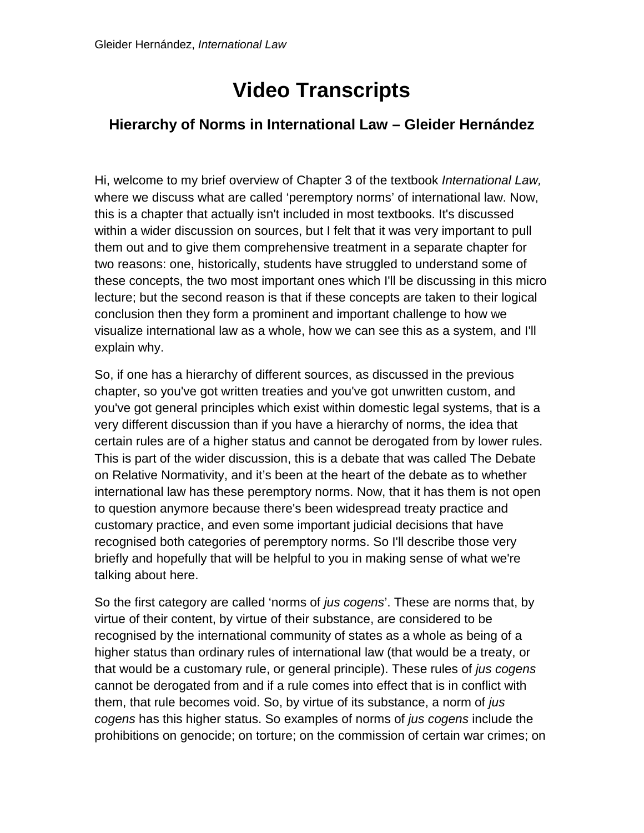## **Video Transcripts**

## **Hierarchy of Norms in International Law – Gleider Hernández**

Hi, welcome to my brief overview of Chapter 3 of the textbook *International Law,*  where we discuss what are called 'peremptory norms' of international law. Now, this is a chapter that actually isn't included in most textbooks. It's discussed within a wider discussion on sources, but I felt that it was very important to pull them out and to give them comprehensive treatment in a separate chapter for two reasons: one, historically, students have struggled to understand some of these concepts, the two most important ones which I'll be discussing in this micro lecture; but the second reason is that if these concepts are taken to their logical conclusion then they form a prominent and important challenge to how we visualize international law as a whole, how we can see this as a system, and I'll explain why.

So, if one has a hierarchy of different sources, as discussed in the previous chapter, so you've got written treaties and you've got unwritten custom, and you've got general principles which exist within domestic legal systems, that is a very different discussion than if you have a hierarchy of norms, the idea that certain rules are of a higher status and cannot be derogated from by lower rules. This is part of the wider discussion, this is a debate that was called The Debate on Relative Normativity, and it's been at the heart of the debate as to whether international law has these peremptory norms. Now, that it has them is not open to question anymore because there's been widespread treaty practice and customary practice, and even some important judicial decisions that have recognised both categories of peremptory norms. So I'll describe those very briefly and hopefully that will be helpful to you in making sense of what we're talking about here.

So the first category are called 'norms of *jus cogens*'. These are norms that, by virtue of their content, by virtue of their substance, are considered to be recognised by the international community of states as a whole as being of a higher status than ordinary rules of international law (that would be a treaty, or that would be a customary rule, or general principle). These rules of *jus cogens* cannot be derogated from and if a rule comes into effect that is in conflict with them, that rule becomes void. So, by virtue of its substance, a norm of *jus cogens* has this higher status. So examples of norms of *jus cogens* include the prohibitions on genocide; on torture; on the commission of certain war crimes; on